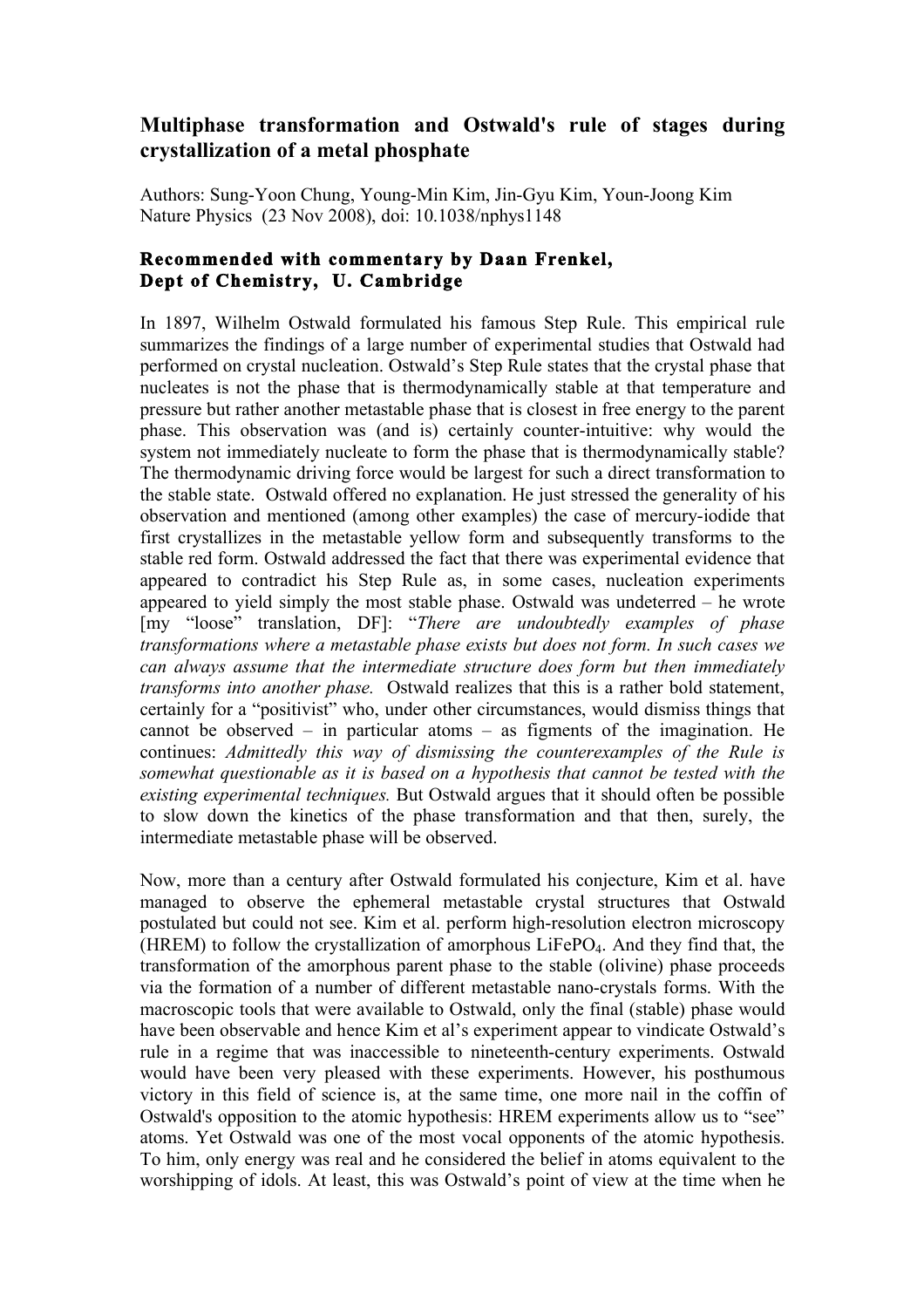## **Multiphase transformation and Ostwald's rule of stages during crystallization of a metal phosphate**

Authors: Sung-Yoon Chung, Young-Min Kim, Jin-Gyu Kim, Youn-Joong Kim Nature Physics (23 Nov 2008), doi: 10.1038/nphys1148

## **Recommended with commentary by Daan Frenkel, Dept of Chemistry, U. Cambridge**

In 1897, Wilhelm Ostwald formulated his famous Step Rule. This empirical rule summarizes the findings of a large number of experimental studies that Ostwald had performed on crystal nucleation. Ostwald's Step Rule states that the crystal phase that nucleates is not the phase that is thermodynamically stable at that temperature and pressure but rather another metastable phase that is closest in free energy to the parent phase. This observation was (and is) certainly counter-intuitive: why would the system not immediately nucleate to form the phase that is thermodynamically stable? The thermodynamic driving force would be largest for such a direct transformation to the stable state. Ostwald offered no explanation. He just stressed the generality of his observation and mentioned (among other examples) the case of mercury-iodide that first crystallizes in the metastable yellow form and subsequently transforms to the stable red form. Ostwald addressed the fact that there was experimental evidence that appeared to contradict his Step Rule as, in some cases, nucleation experiments appeared to yield simply the most stable phase. Ostwald was undeterred – he wrote [my "loose" translation, DF]: "*There are undoubtedly examples of phase transformations where a metastable phase exists but does not form. In such cases we can always assume that the intermediate structure does form but then immediately transforms into another phase.* Ostwald realizes that this is a rather bold statement, certainly for a "positivist" who, under other circumstances, would dismiss things that cannot be observed – in particular atoms – as figments of the imagination. He continues: *Admittedly this way of dismissing the counterexamples of the Rule is somewhat questionable as it is based on a hypothesis that cannot be tested with the existing experimental techniques.* But Ostwald argues that it should often be possible to slow down the kinetics of the phase transformation and that then, surely, the intermediate metastable phase will be observed.

Now, more than a century after Ostwald formulated his conjecture, Kim et al. have managed to observe the ephemeral metastable crystal structures that Ostwald postulated but could not see. Kim et al. perform high-resolution electron microscopy (HREM) to follow the crystallization of amorphous  $LiFePO<sub>4</sub>$ . And they find that, the transformation of the amorphous parent phase to the stable (olivine) phase proceeds via the formation of a number of different metastable nano-crystals forms. With the macroscopic tools that were available to Ostwald, only the final (stable) phase would have been observable and hence Kim et al's experiment appear to vindicate Ostwald's rule in a regime that was inaccessible to nineteenth-century experiments. Ostwald would have been very pleased with these experiments. However, his posthumous victory in this field of science is, at the same time, one more nail in the coffin of Ostwald's opposition to the atomic hypothesis: HREM experiments allow us to "see" atoms. Yet Ostwald was one of the most vocal opponents of the atomic hypothesis. To him, only energy was real and he considered the belief in atoms equivalent to the worshipping of idols. At least, this was Ostwald's point of view at the time when he